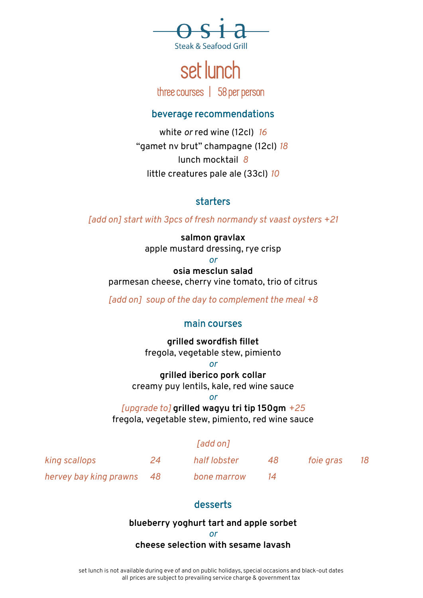

# set lunch

three courses | 58 per person

#### beverage recommendations

white *or* red wine (12cl) *16* "gamet nv brut" champagne (12cl) *18* lunch mocktail *8* little creatures pale ale (33cl) *10*

## starters

*[add on] start with 3pcs of fresh normandy st vaast oysters +21*

**salmon gravlax** apple mustard dressing, rye crisp

*or*

**osia mesclun salad** parmesan cheese, cherry vine tomato, trio of citrus

*[add on] soup of the day to complement the meal +8*

#### main courses

**grilled swordfish fillet** fregola, vegetable stew, pimiento

*or*

**grilled iberico pork collar** creamy puy lentils, kale, red wine sauce

*or*

*[upgrade to]* **grilled wagyu tri tip 150gm** *+25* fregola, vegetable stew, pimiento, red wine sauce

## *[add on]*

| king scallops             | 24 | half lobster | 48 | <i>foie gras</i> | 18 |
|---------------------------|----|--------------|----|------------------|----|
| hervey bay king prawns 48 |    | bone marrow  |    |                  |    |

## desserts

#### **blueberry yoghurt tart and apple sorbet**

*or*

#### **cheese selection with sesame lavash**

set lunch is not available during eve of and on public holidays, special occasions and black-out dates all prices are subject to prevailing service charge & government tax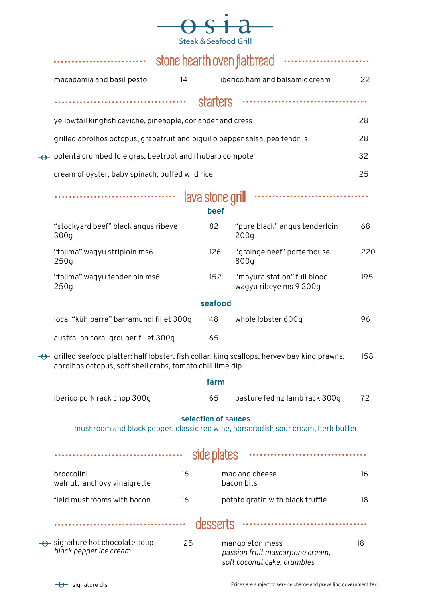|                                  | and the Col |
|----------------------------------|-------------|
| <b>Steak &amp; Seafood Grill</b> |             |

|           |                                                                                                                                                                              | stone hearth oven flatbread |          |                                                                                   |     |  |  |
|-----------|------------------------------------------------------------------------------------------------------------------------------------------------------------------------------|-----------------------------|----------|-----------------------------------------------------------------------------------|-----|--|--|
|           | macadamia and basil pesto                                                                                                                                                    | 14                          |          | iberico ham and balsamic cream                                                    | 22  |  |  |
|           |                                                                                                                                                                              |                             | starters |                                                                                   |     |  |  |
|           | yellowtail kingfish ceviche, pineapple, coriander and cress                                                                                                                  |                             |          |                                                                                   | 28  |  |  |
|           | grilled abrolhos octopus, grapefruit and piquillo pepper salsa, pea tendrils                                                                                                 |                             |          |                                                                                   | 28  |  |  |
| $-\Theta$ | polenta crumbed foie gras, beetroot and rhubarb compote                                                                                                                      |                             |          |                                                                                   | 32  |  |  |
|           | cream of oyster, baby spinach, puffed wild rice                                                                                                                              |                             |          |                                                                                   | 25  |  |  |
|           | <br>lava stone grill<br>beef                                                                                                                                                 |                             |          |                                                                                   |     |  |  |
|           | "stockyard beef" black angus ribeye<br>300q                                                                                                                                  |                             | 82       | "pure black" angus tenderloin<br>200q                                             | 68  |  |  |
|           | "tajima" wagyu striploin ms6<br>250q                                                                                                                                         |                             | 126      | "grainge beef" porterhouse<br>800g                                                | 220 |  |  |
|           | "tajima" wagyu tenderloin ms6<br>250q                                                                                                                                        |                             | 152      | "mayura station" full blood<br>wagyu ribeye ms 9 200g                             | 195 |  |  |
|           |                                                                                                                                                                              |                             | seafood  |                                                                                   |     |  |  |
|           | local "kühlbarra" barramundi fillet 300g                                                                                                                                     |                             | 48       | whole lobster 600g                                                                | 96  |  |  |
|           | australian coral grouper fillet 300g                                                                                                                                         |                             | 65       |                                                                                   |     |  |  |
|           | $\rightarrow$ grilled seafood platter: half lobster, fish collar, king scallops, hervey bay king prawns,<br>158<br>abrolhos octopus, soft shell crabs, tomato chili lime dip |                             |          |                                                                                   |     |  |  |
|           |                                                                                                                                                                              |                             | farm     |                                                                                   |     |  |  |
|           | iberico pork rack chop 300g                                                                                                                                                  |                             | 65       | pasture fed nz lamb rack 300g                                                     | 72  |  |  |
|           | selection of sauces<br>mushroom and black pepper, classic red wine, horseradish sour cream, herb butter                                                                      |                             |          |                                                                                   |     |  |  |
|           |                                                                                                                                                                              |                             |          |                                                                                   |     |  |  |
|           | broccolini<br>walnut, anchovy vinaigrette                                                                                                                                    | 16                          |          | mac and cheese<br>bacon bits                                                      | 16  |  |  |
|           | field mushrooms with bacon                                                                                                                                                   | 16                          |          | potato gratin with black truffle                                                  | 18  |  |  |
|           |                                                                                                                                                                              |                             | desserts |                                                                                   |     |  |  |
|           | $\rightarrow$ signature hot chocolate soup<br>black pepper ice cream                                                                                                         | 25                          |          | mango eton mess<br>passion fruit mascarpone cream,<br>soft coconut cake, crumbles | 18  |  |  |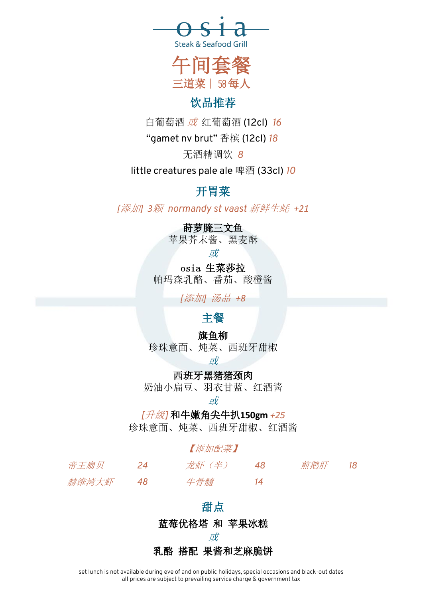



# 饮品推荐

白葡萄酒 或 红葡萄酒 (12cl) *16*

"gamet nv brut" 香槟 (12cl) *18*

无酒精调饮 *8*

little creatures pale ale 啤酒 (33cl) *10*

# 开胃菜

*[*添加*] 3*颗 *normandy st vaast* 新鲜生蚝 *+21*

## 莳萝腌三文鱼

苹果芥末酱、黑麦酥

或

osia 生菜莎拉 帕玛森乳酪、番茄、酸橙酱

*[*添加*]* 汤品 *+8*

# 主餐

# 旗鱼柳

珍珠意面、炖菜、西班牙甜椒

或

西班牙黑猪猪颈肉

奶油小扁豆、羽衣甘蓝、红酒酱

或

*[*升级*]* 和牛嫩角尖牛扒**150gm** *+25*

珍珠意面、炖菜、西班牙甜椒、红酒酱

## 【添加配菜】

| 帝王扇贝  | 24 | 龙虾(半) | 煎鹅肝 | 18 |
|-------|----|-------|-----|----|
| 赫维湾大虾 |    | 牛骨髓   |     |    |

#### 甜点

蓝莓优格塔 和 苹果冰糕

或

# 乳酪 搭配 果酱和芝麻脆饼

set lunch is not available during eve of and on public holidays, special occasions and black-out dates all prices are subject to prevailing service charge & government tax